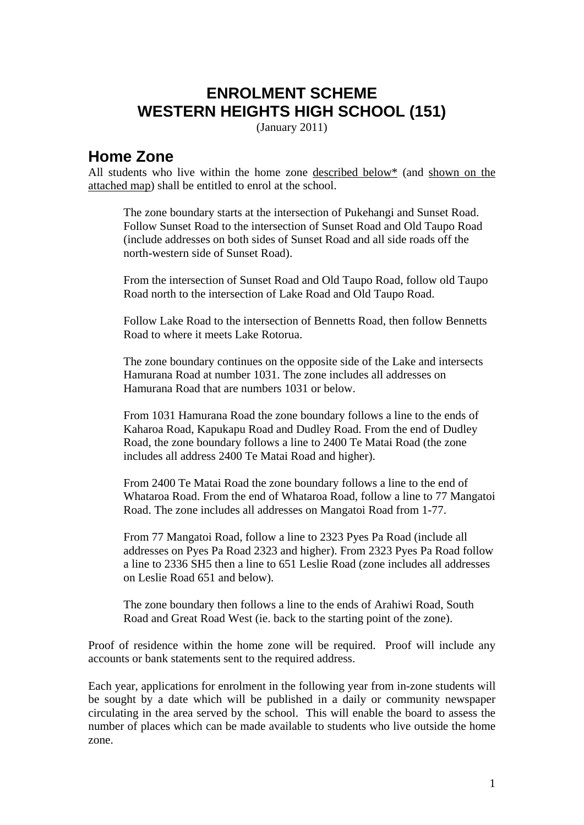## **ENROLMENT SCHEME WESTERN HEIGHTS HIGH SCHOOL (151)**

(January 2011)

## **Home Zone**

All students who live within the home zone described below\* (and shown on the attached map) shall be entitled to enrol at the school.

The zone boundary starts at the intersection of Pukehangi and Sunset Road. Follow Sunset Road to the intersection of Sunset Road and Old Taupo Road (include addresses on both sides of Sunset Road and all side roads off the north-western side of Sunset Road).

From the intersection of Sunset Road and Old Taupo Road, follow old Taupo Road north to the intersection of Lake Road and Old Taupo Road.

Follow Lake Road to the intersection of Bennetts Road, then follow Bennetts Road to where it meets Lake Rotorua.

The zone boundary continues on the opposite side of the Lake and intersects Hamurana Road at number 1031. The zone includes all addresses on Hamurana Road that are numbers 1031 or below.

From 1031 Hamurana Road the zone boundary follows a line to the ends of Kaharoa Road, Kapukapu Road and Dudley Road. From the end of Dudley Road, the zone boundary follows a line to 2400 Te Matai Road (the zone includes all address 2400 Te Matai Road and higher).

From 2400 Te Matai Road the zone boundary follows a line to the end of Whataroa Road. From the end of Whataroa Road, follow a line to 77 Mangatoi Road. The zone includes all addresses on Mangatoi Road from 1-77.

From 77 Mangatoi Road, follow a line to 2323 Pyes Pa Road (include all addresses on Pyes Pa Road 2323 and higher). From 2323 Pyes Pa Road follow a line to 2336 SH5 then a line to 651 Leslie Road (zone includes all addresses on Leslie Road 651 and below).

The zone boundary then follows a line to the ends of Arahiwi Road, South Road and Great Road West (ie. back to the starting point of the zone).

Proof of residence within the home zone will be required. Proof will include any accounts or bank statements sent to the required address.

Each year, applications for enrolment in the following year from in-zone students will be sought by a date which will be published in a daily or community newspaper circulating in the area served by the school. This will enable the board to assess the number of places which can be made available to students who live outside the home zone.